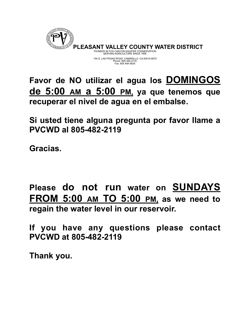

**Favor de NO utilizar el agua los DOMINGOS de 5:00 AM a 5:00 PM, ya que tenemos que recuperar el nivel de agua en el embalse.** 

**Si usted tiene alguna pregunta por favor llame a PVCWD al 805-482-2119** 

**Gracias.** 

**Please do not run water on SUNDAYS FROM 5:00 AM TO 5:00 PM, as we need to regain the water level in our reservoir.** 

**If you have any questions please contact PVCWD at 805-482-2119** 

**Thank you.**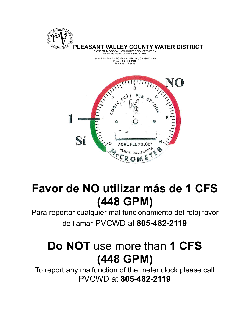



## **Favor de NO utilizar más de 1 CFS (448 GPM)**

Para reportar cualquier mal funcionamiento del reloj favor de llamar PVCWD al **805-482-2119** 

## **Do NOT** use more than **1 CFS (448 GPM)**

To report any malfunction of the meter clock please call PVCWD at **805-482-2119**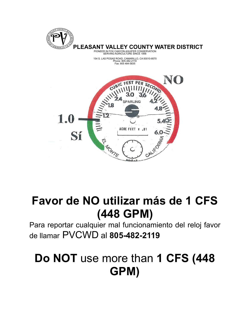

154 S. LAS POSAS ROAD, CAMARILLO, CA 93010-8570 Phone: 805-482-2119 Fax: 805 484-5835



## **Favor de NO utilizar más de 1 CFS (448 GPM)**

Para reportar cualquier mal funcionamiento del reloj favor de llamar PVCWD al **805-482-2119** 

## **Do NOT** use more than **1 CFS (448 GPM)**